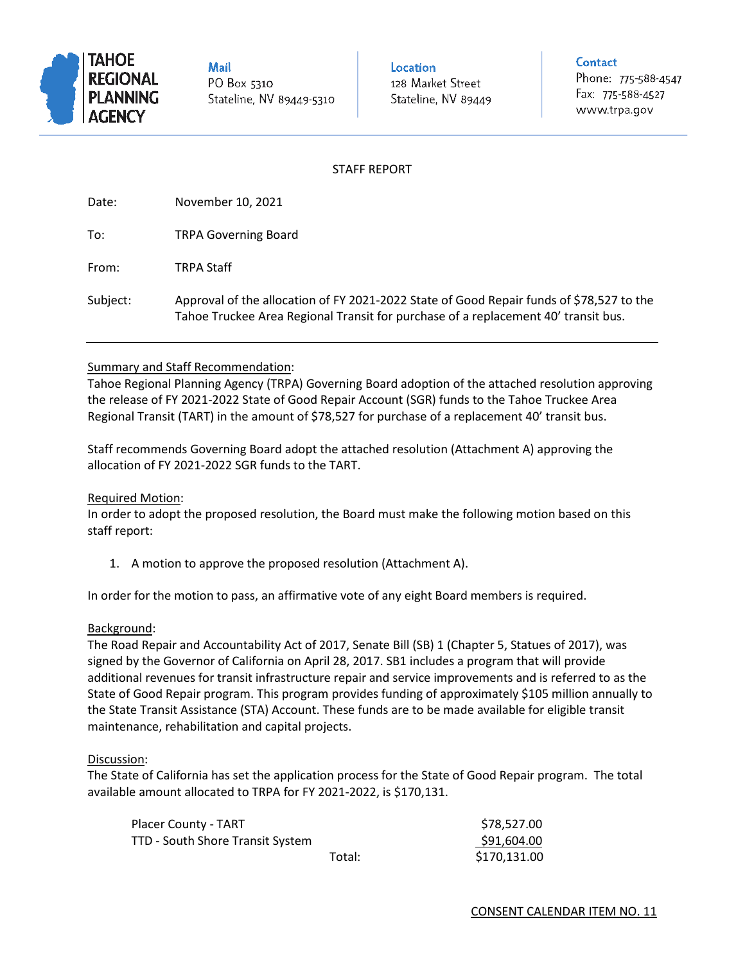

**Mail** PO Box 5310 Stateline, NV 89449-5310 Location 128 Market Street Stateline, NV 89449

#### Contact

Phone: 775-588-4547 Fax: 775-588-4527 www.trpa.gov

## STAFF REPORT

Date: November 10, 2021 To: TRPA Governing Board From: TRPA Staff Subject: Approval of the allocation of FY 2021-2022 State of Good Repair funds of \$78,527 to the Tahoe Truckee Area Regional Transit for purchase of a replacement 40' transit bus.

# Summary and Staff Recommendation:

Tahoe Regional Planning Agency (TRPA) Governing Board adoption of the attached resolution approving the release of FY 2021-2022 State of Good Repair Account (SGR) funds to the Tahoe Truckee Area Regional Transit (TART) in the amount of \$78,527 for purchase of a replacement 40' transit bus.

Staff recommends Governing Board adopt the attached resolution (Attachment A) approving the allocation of FY 2021-2022 SGR funds to the TART.

### Required Motion:

In order to adopt the proposed resolution, the Board must make the following motion based on this staff report:

1. A motion to approve the proposed resolution (Attachment A).

In order for the motion to pass, an affirmative vote of any eight Board members is required.

### Background:

The Road Repair and Accountability Act of 2017, Senate Bill (SB) 1 (Chapter 5, Statues of 2017), was signed by the Governor of California on April 28, 2017. SB1 includes a program that will provide additional revenues for transit infrastructure repair and service improvements and is referred to as the State of Good Repair program. This program provides funding of approximately \$105 million annually to the State Transit Assistance (STA) Account. These funds are to be made available for eligible transit maintenance, rehabilitation and capital projects.

### Discussion:

The State of California has set the application process for the State of Good Repair program. The total available amount allocated to TRPA for FY 2021-2022, is \$170,131.

| <b>Placer County - TART</b>      |        | \$78,527.00  |
|----------------------------------|--------|--------------|
| TTD - South Shore Transit System |        | \$91,604.00  |
|                                  | Total: | \$170,131.00 |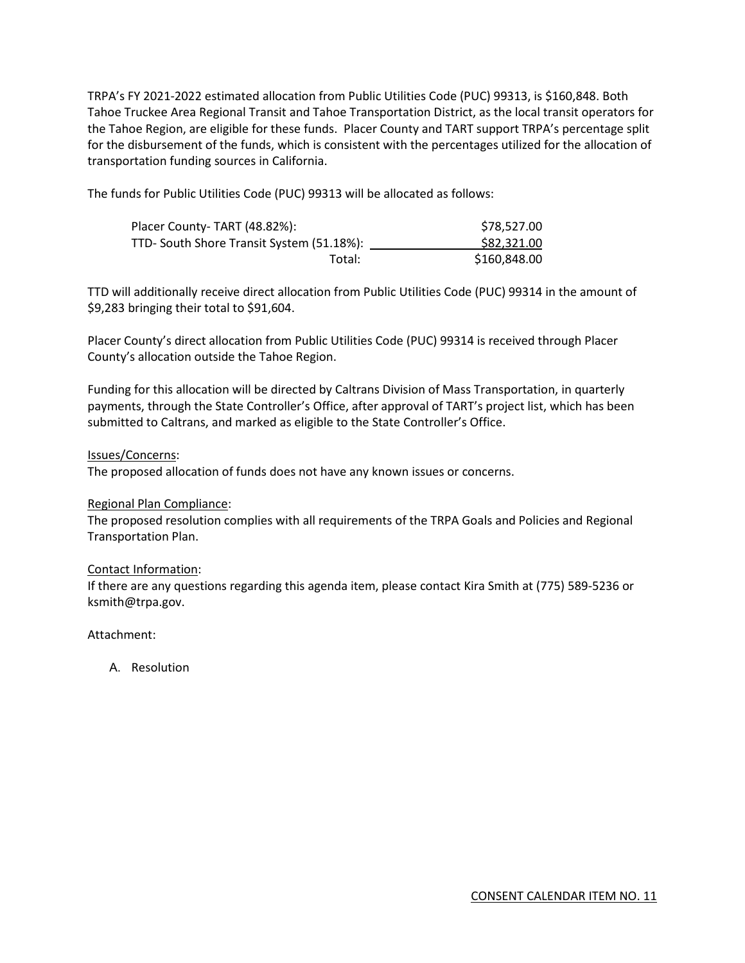TRPA's FY 2021-2022 estimated allocation from Public Utilities Code (PUC) 99313, is \$160,848. Both Tahoe Truckee Area Regional Transit and Tahoe Transportation District, as the local transit operators for the Tahoe Region, are eligible for these funds. Placer County and TART support TRPA's percentage split for the disbursement of the funds, which is consistent with the percentages utilized for the allocation of transportation funding sources in California.

The funds for Public Utilities Code (PUC) 99313 will be allocated as follows:

| Placer County-TART (48.82%):              | \$78,527.00  |
|-------------------------------------------|--------------|
| TTD- South Shore Transit System (51.18%): | \$82,321.00  |
| Total:                                    | \$160,848.00 |

TTD will additionally receive direct allocation from Public Utilities Code (PUC) 99314 in the amount of \$9,283 bringing their total to \$91,604.

Placer County's direct allocation from Public Utilities Code (PUC) 99314 is received through Placer County's allocation outside the Tahoe Region.

Funding for this allocation will be directed by Caltrans Division of Mass Transportation, in quarterly payments, through the State Controller's Office, after approval of TART's project list, which has been submitted to Caltrans, and marked as eligible to the State Controller's Office.

#### Issues/Concerns:

The proposed allocation of funds does not have any known issues or concerns.

### Regional Plan Compliance:

The proposed resolution complies with all requirements of the TRPA Goals and Policies and Regional Transportation Plan.

### Contact Information:

If there are any questions regarding this agenda item, please contact Kira Smith at (775) 589-5236 or ksmith@trpa.gov.

Attachment:

A. Resolution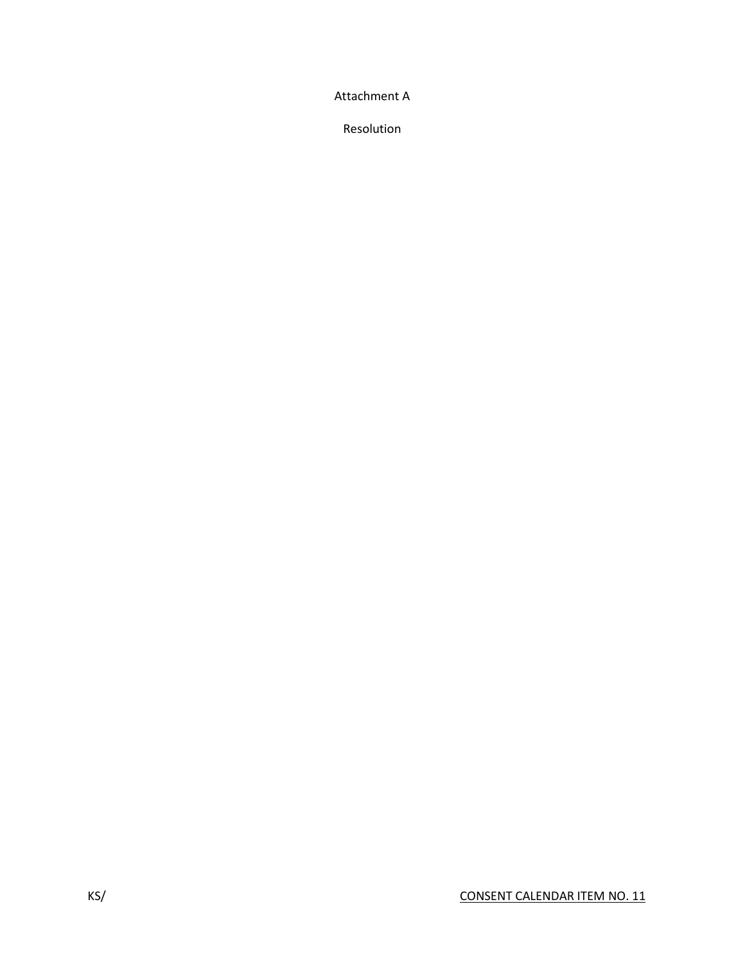Attachment A

Resolution